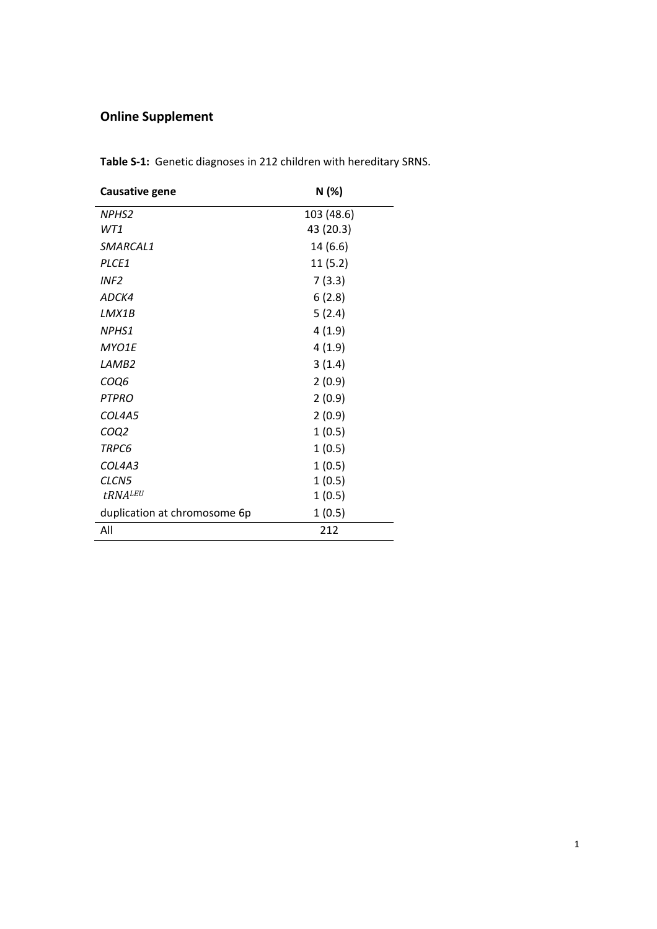## **Online Supplement**

| <b>Causative gene</b>        | N (%)      |
|------------------------------|------------|
| <b>NPHS2</b>                 | 103 (48.6) |
| WT1                          | 43 (20.3)  |
| SMARCAL1                     | 14 (6.6)   |
| PLCE1                        | 11(5.2)    |
| INF <sub>2</sub>             | 7(3.3)     |
| ADCK4                        | 6(2.8)     |
| LMX1B                        | 5(2.4)     |
| NPHS1                        | 4(1.9)     |
| MYO1E                        | 4(1.9)     |
| LAMB <sub>2</sub>            | 3(1.4)     |
| COQ6                         | 2(0.9)     |
| <b>PTPRO</b>                 | 2(0.9)     |
| COL4A5                       | 2(0.9)     |
| COQ2                         | 1(0.5)     |
| TRPC6                        | 1(0.5)     |
| COL4A3                       | 1(0.5)     |
| CLCN5                        | 1(0.5)     |
| <b>tRNALEU</b>               | 1(0.5)     |
| duplication at chromosome 6p | 1(0.5)     |
| All                          | 212        |

**Table S-1:** Genetic diagnoses in 212 children with hereditary SRNS.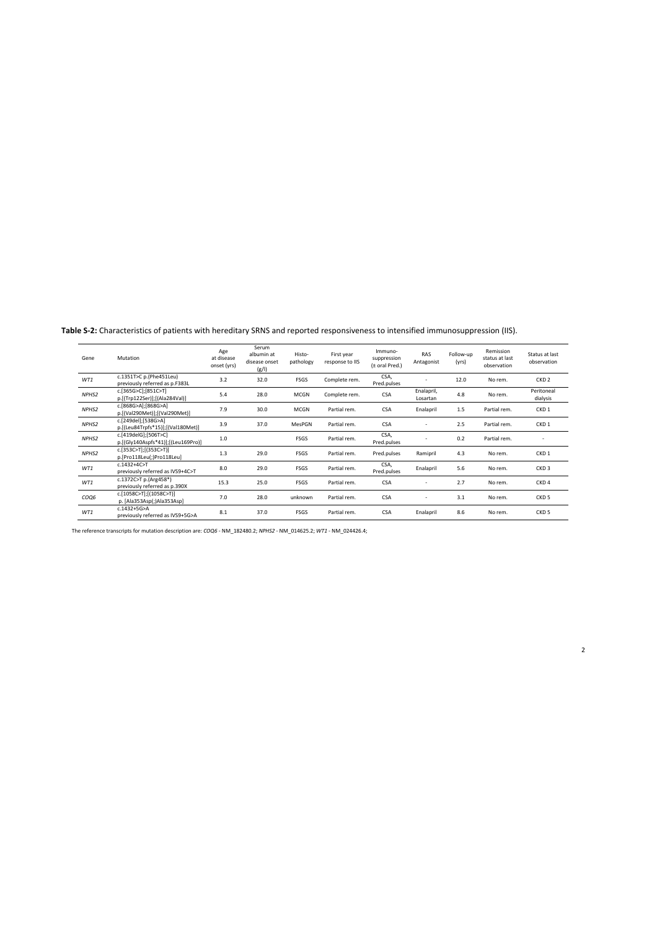| Gene              | Mutation                                                   | Age<br>at disease<br>onset (yrs) | Serum<br>albumin at<br>disease onset<br>(g/l) | Histo-<br>pathology | First year<br>response to IIS | Immuno-<br>suppression<br>(± oral Pred.) | RAS<br>Antagonist      | Follow-up<br>(yrs) | Remission<br>status at last<br>observation | Status at last<br>observation |
|-------------------|------------------------------------------------------------|----------------------------------|-----------------------------------------------|---------------------|-------------------------------|------------------------------------------|------------------------|--------------------|--------------------------------------------|-------------------------------|
| WT1               | c.1351T>C p.(Phe451Leu)<br>previously referred as p.F383L  | 3.2                              | 32.0                                          | FSGS                | Complete rem.                 | CSA,<br>Pred.pulses                      |                        | 12.0               | No rem.                                    | CKD <sub>2</sub>              |
| NPHS <sub>2</sub> | c.[365G>C];[851C>T]<br>p.[(Trp122Ser)];[(Ala284Val)]       | 5.4                              | 28.0                                          | MCGN                | Complete rem.                 | <b>CSA</b>                               | Enalapril,<br>Losartan | 4.8                | No rem.                                    | Peritoneal<br>dialysis        |
| NPHS <sub>2</sub> | c.[868G>A];[868G>A]<br>p.[(Val290Met)];[(Val290Met)]       | 7.9                              | 30.0                                          | MCGN                | Partial rem.                  | <b>CSA</b>                               | Enalapril              | 1.5                | Partial rem.                               | CKD <sub>1</sub>              |
| NPHS <sub>2</sub> | c.[249del];[538G>A]<br>p.[(Leu84Trpfs*15)];[(Val180Met)]   | 3.9                              | 37.0                                          | MesPGN              | Partial rem.                  | <b>CSA</b>                               |                        | 2.5                | Partial rem.                               | CKD <sub>1</sub>              |
| NPHS <sub>2</sub> | c.[419delG];[506T>C]<br>p.[(Gly140Aspfs*41)];[(Leu169Pro)] | 1.0                              |                                               | FSGS                | Partial rem.                  | CSA,<br>Pred.pulses                      |                        | 0.2                | Partial rem.                               |                               |
| NPHS <sub>2</sub> | c.[353C>T];[(353C>T)]<br>p.[Pro118Leu(;)Pro118Leu]         | 1.3                              | 29.0                                          | FSGS                | Partial rem.                  | Pred.pulses                              | Ramipril               | 4.3                | No rem.                                    | CKD <sub>1</sub>              |
| WT1               | $c.1432 + 4C > T$<br>previously referred as IVS9+4C>T      | 8.0                              | 29.0                                          | FSGS                | Partial rem.                  | CSA,<br>Pred.pulses                      | Enalapril              | 5.6                | No rem.                                    | CKD <sub>3</sub>              |
| WT1               | c.1372C>T p.(Arg458*)<br>previously referred as p.390X     | 15.3                             | 25.0                                          | FSGS                | Partial rem.                  | <b>CSA</b>                               |                        | 2.7                | No rem.                                    | CKD <sub>4</sub>              |
| COQ6              | c.[1058C>T];[(1058C>T)]<br>p. [Ala353Asp(;)Ala353Asp]      | 7.0                              | 28.0                                          | unknown             | Partial rem.                  | <b>CSA</b>                               |                        | 3.1                | No rem.                                    | CKD <sub>5</sub>              |
| WT1               | $c.1432 + 5G > A$<br>previously referred as IVS9+5G>A      | 8.1                              | 37.0                                          | FSGS                | Partial rem.                  | <b>CSA</b>                               | Enalapril              | 8.6                | No rem.                                    | CKD <sub>5</sub>              |

**Table S-2:** Characteristics of patients with hereditary SRNS and reported responsiveness to intensified immunosuppression (IIS).

The reference transcripts for mutation description are: *COQ6* - NM\_182480.2; *NPHS2* - NM\_014625.2; *WT1* - NM\_024426.4;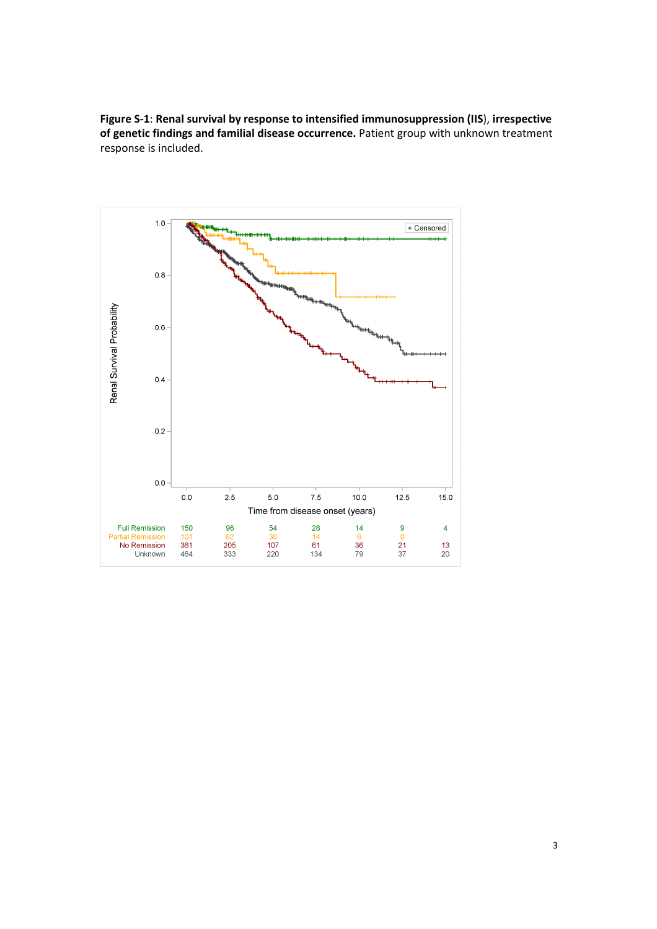

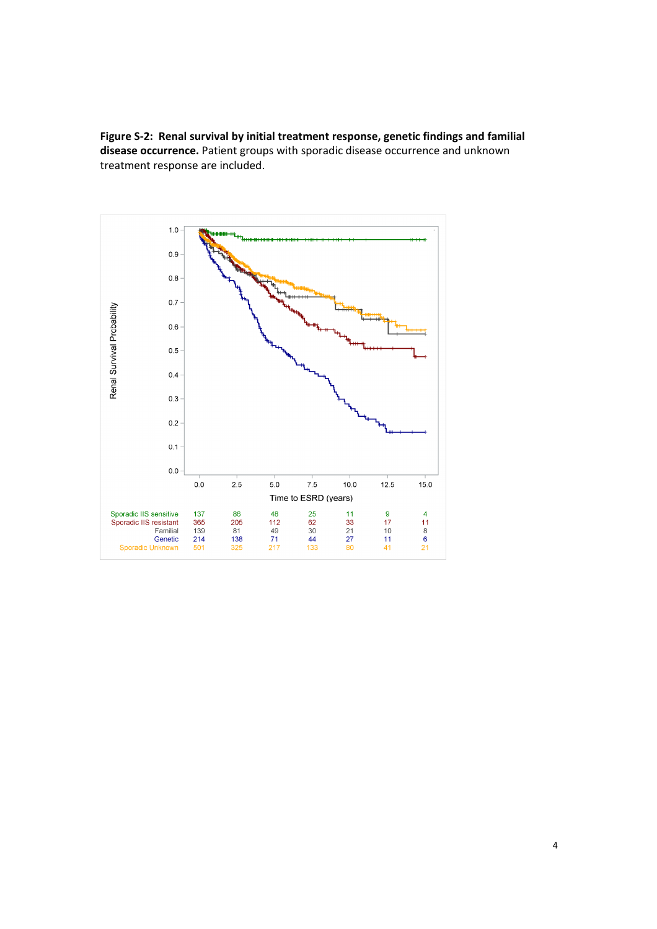**Figure S-2: Renal survival by initial treatment response, genetic findings and familial disease occurrence.** Patient groups with sporadic disease occurrence and unknown treatment response are included.

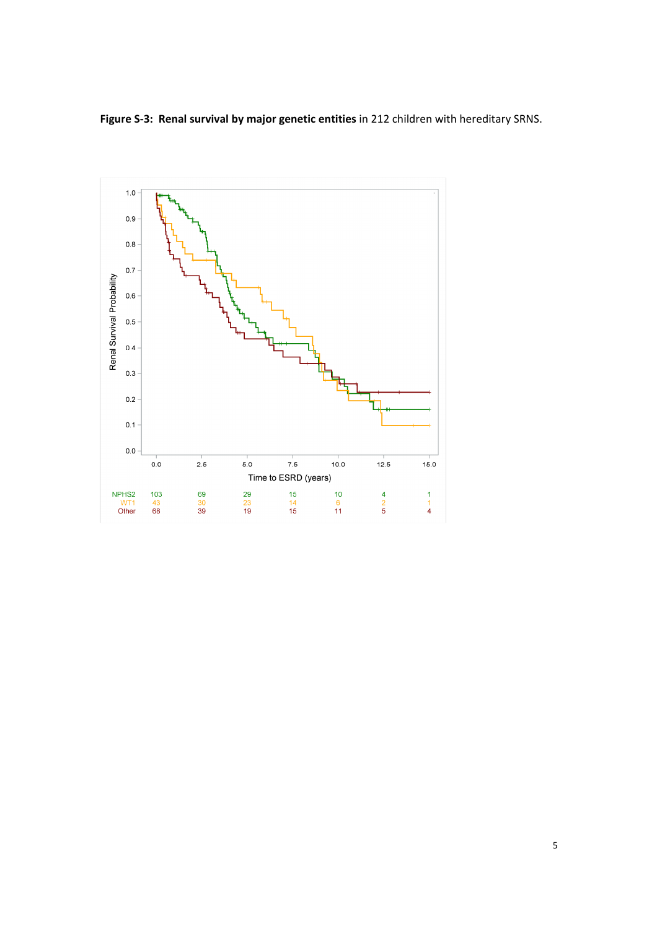**Figure S-3: Renal survival by major genetic entities** in 212 children with hereditary SRNS.